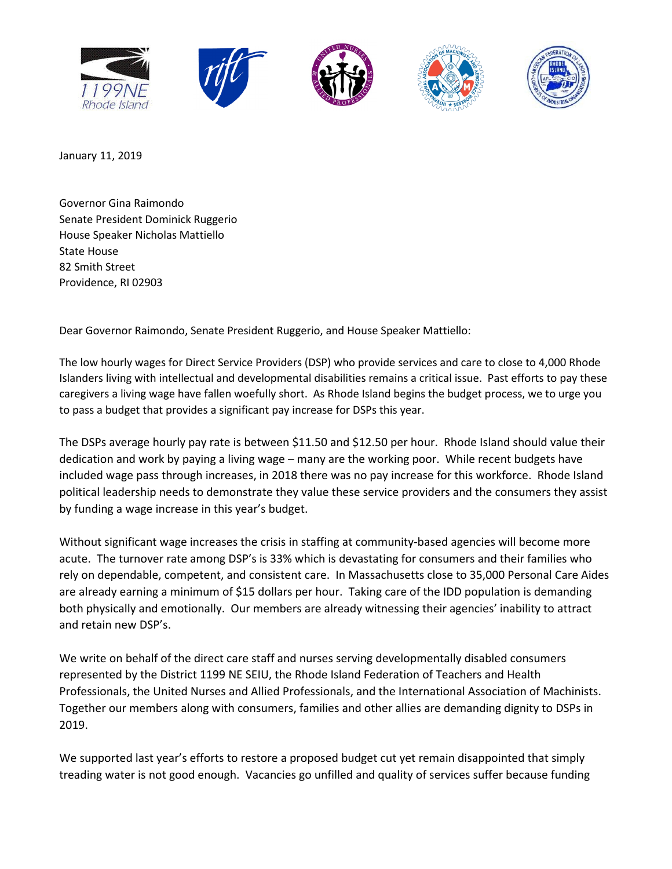

January 11, 2019

Governor Gina Raimondo Senate President Dominick Ruggerio House Speaker Nicholas Mattiello State House 82 Smith Street Providence, RI 02903

Dear Governor Raimondo, Senate President Ruggerio, and House Speaker Mattiello:

The low hourly wages for Direct Service Providers (DSP) who provide services and care to close to 4,000 Rhode Islanders living with intellectual and developmental disabilities remains a critical issue. Past efforts to pay these caregivers a living wage have fallen woefully short. As Rhode Island begins the budget process, we to urge you to pass a budget that provides a significant pay increase for DSPs this year.

The DSPs average hourly pay rate is between \$11.50 and \$12.50 per hour. Rhode Island should value their dedication and work by paying a living wage – many are the working poor. While recent budgets have included wage pass through increases, in 2018 there was no pay increase for this workforce. Rhode Island political leadership needs to demonstrate they value these service providers and the consumers they assist by funding a wage increase in this year's budget.

Without significant wage increases the crisis in staffing at community-based agencies will become more acute. The turnover rate among DSP's is 33% which is devastating for consumers and their families who rely on dependable, competent, and consistent care. In Massachusetts close to 35,000 Personal Care Aides are already earning a minimum of \$15 dollars per hour. Taking care of the IDD population is demanding both physically and emotionally. Our members are already witnessing their agencies' inability to attract and retain new DSP's.

We write on behalf of the direct care staff and nurses serving developmentally disabled consumers represented by the District 1199 NE SEIU, the Rhode Island Federation of Teachers and Health Professionals, the United Nurses and Allied Professionals, and the International Association of Machinists. Together our members along with consumers, families and other allies are demanding dignity to DSPs in 2019.

We supported last year's efforts to restore a proposed budget cut yet remain disappointed that simply treading water is not good enough. Vacancies go unfilled and quality of services suffer because funding